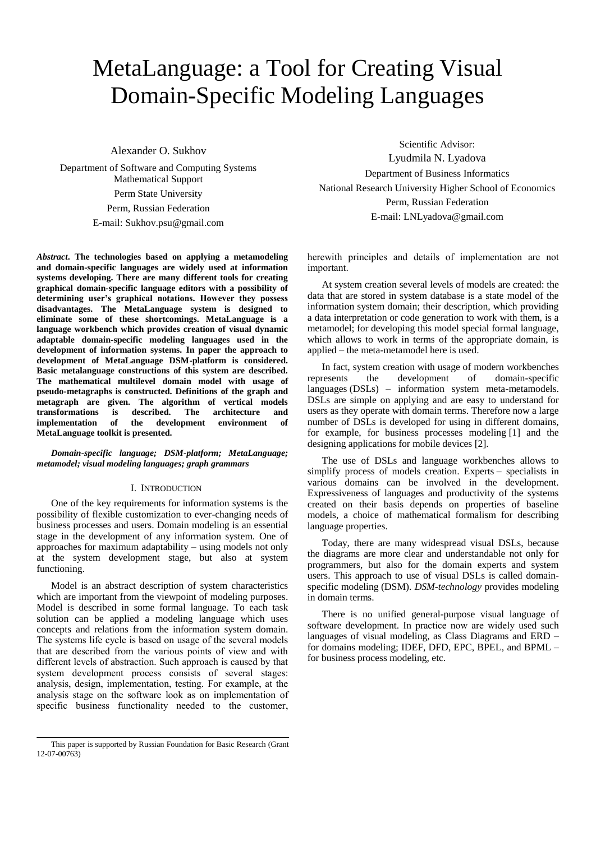# MetaLanguage: a Tool for Creating Visual Domain-Specific Modeling Languages

Alexander O. Sukhov

Department of Software and Computing Systems Mathematical Support Perm State University Perm, Russian Federation E-mail: Sukhov.psu@gmail.com

*Abstract***. The technologies based on applying a metamodeling and domain-specific languages are widely used at information systems developing. There are many different tools for creating graphical domain-specific language editors with a possibility of determining user's graphical notations. However they possess disadvantages. The MetaLanguage system is designed to eliminate some of these shortcomings. MetaLanguage is a language workbench which provides creation of visual dynamic adaptable domain-specific modeling languages used in the development of information systems. In paper the approach to development of MetaLanguage DSM-platform is considered. Basic metalanguage constructions of this system are described. The mathematical multilevel domain model with usage of pseudo-metagraphs is constructed. Definitions of the graph and metagraph are given. The algorithm of vertical models transformations is described. The architecture and implementation of the development environment of MetaLanguage toolkit is presented.**

*Domain-specific language; DSM-platform; MetaLanguage; metamodel; visual modeling languages; graph grammars*

### I. INTRODUCTION

One of the key requirements for information systems is the possibility of flexible customization to ever-changing needs of business processes and users. Domain modeling is an essential stage in the development of any information system. One of approaches for maximum adaptability – using models not only at the system development stage, but also at system functioning.

Model is an abstract description of system characteristics which are important from the viewpoint of modeling purposes. Model is described in some formal language. To each task solution can be applied a modeling language which uses concepts and relations from the information system domain. The systems life cycle is based on usage of the several models that are described from the various points of view and with different levels of abstraction. Such approach is caused by that system development process consists of several stages: analysis, design, implementation, testing. For example, at the analysis stage on the software look as on implementation of specific business functionality needed to the customer,

Scientific Advisor: Lyudmila N. Lyadova Department of Business Informatics National Research University Higher School of Economics Perm, Russian Federation E-mail: LNLyadova@gmail.com

herewith principles and details of implementation are not important.

At system creation several levels of models are created: the data that are stored in system database is a state model of the information system domain; their description, which providing a data interpretation or code generation to work with them, is a metamodel; for developing this model special formal language, which allows to work in terms of the appropriate domain, is applied – the meta-metamodel here is used.

In fact, system creation with usage of modern workbenches represents the development of domain-specific languages (DSLs) – information system meta-metamodels. DSLs are simple on applying and are easy to understand for users as they operate with domain terms. Therefore now a large number of DSLs is developed for using in different domains, for example, for business processes modeling [1] and the designing applications for mobile devices [2].

The use of DSLs and language workbenches allows to simplify process of models creation. Experts – specialists in various domains can be involved in the development. Expressiveness of languages and productivity of the systems created on their basis depends on properties of baseline models, a choice of mathematical formalism for describing language properties.

Today, there are many widespread visual DSLs, because the diagrams are more clear and understandable not only for programmers, but also for the domain experts and system users. This approach to use of visual DSLs is called domainspecific modeling (DSM). *DSM-technology* provides modeling in domain terms.

There is no unified general-purpose visual language of software development. In practice now are widely used such languages of visual modeling, as Class Diagrams and ERD – for domains modeling; IDEF, DFD, EPC, BPEL, and BPML – for business process modeling, etc.

This paper is supported by Russian Foundation for Basic Research (Grant 12-07-00763)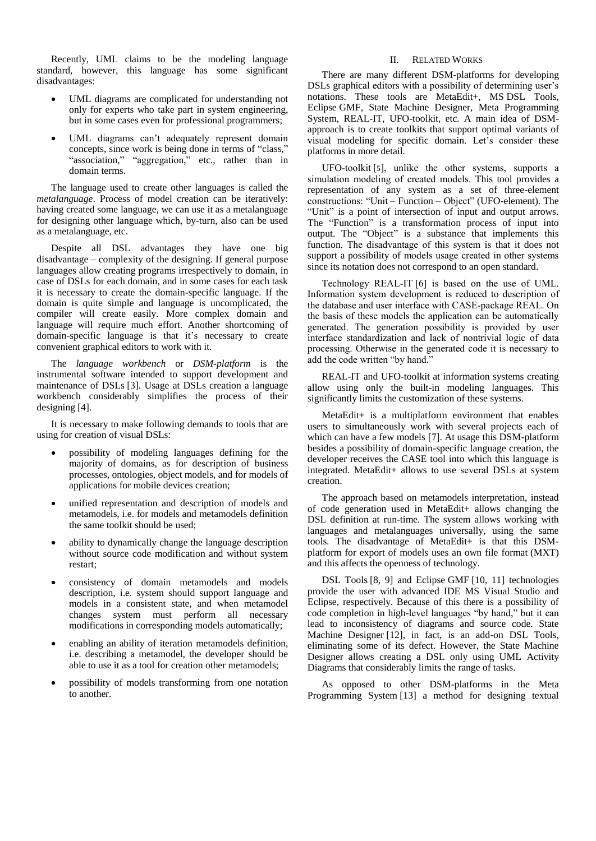Recently, UML claims to be the modeling language standard, however, this language has some significant disadvantages:

- UML diagrams are complicated for understanding not only for experts who take part in system engineering, but in some cases even for professional programmers;
- UML diagrams can't adequately represent domain concepts, since work is being done in terms of "class," "association," "aggregation," etc., rather than in domain terms.

The language used to create other languages is called the *metalanguage*. Process of model creation can be iteratively: having created some language, we can use it as a metalanguage for designing other language which, by-turn, also can be used as a metalanguage, etc.

Despite all DSL advantages they have one big disadvantage – complexity of the designing. If general purpose languages allow creating programs irrespectively to domain, in case of DSLs for each domain, and in some cases for each task it is necessary to create the domain-specific language. If the domain is quite simple and language is uncomplicated, the compiler will create easily. More complex domain and language will require much effort. Another shortcoming of domain-specific language is that it's necessary to create convenient graphical editors to work with it.

The *language workbench* or *DSM-platform* is the instrumental software intended to support development and maintenance of DSLs [3]. Usage at DSLs creation a language workbench considerably simplifies the process of their designing [4].

It is necessary to make following demands to tools that are using for creation of visual DSLs:

- possibility of modeling languages defining for the majority of domains, as for description of business processes, ontologies, object models, and for models of applications for mobile devices creation;
- unified representation and description of models and metamodels, i.e. for models and metamodels definition the same toolkit should be used;
- ability to dynamically change the language description without source code modification and without system restart;
- consistency of domain metamodels and models description, i.e. system should support language and models in a consistent state, and when metamodel changes system must perform all necessary modifications in corresponding models automatically;
- enabling an ability of iteration metamodels definition, i.e. describing a metamodel, the developer should be able to use it as a tool for creation other metamodels;
- possibility of models transforming from one notation to another.

# II. RELATED WORKS

There are many different DSM-platforms for developing DSLs graphical editors with a possibility of determining user's notations. These tools are MetaEdit+, MS DSL Tools, Eclipse GMF, State Machine Designer, Meta Programming System, REAL-IT, UFO-toolkit, etc. A main idea of DSMapproach is to create toolkits that support optimal variants of visual modeling for specific domain. Let's consider these platforms in more detail.

UFO-toolkit [5], unlike the other systems, supports a simulation modeling of created models. This tool provides a representation of any system as a set of three-element constructions: "Unit – Function – Object" (UFO-element). The "Unit" is a point of intersection of input and output arrows. The "Function" is a transformation process of input into output. The "Object" is a substance that implements this function. The disadvantage of this system is that it does not support a possibility of models usage created in other systems since its notation does not correspond to an open standard.

Technology REAL-IT [6] is based on the use of UML. Information system development is reduced to description of the database and user interface with CASE-package REAL. On the basis of these models the application can be automatically generated. The generation possibility is provided by user interface standardization and lack of nontrivial logic of data processing. Otherwise in the generated code it is necessary to add the code written "by hand."

REAL-IT and UFO-toolkit at information systems creating allow using only the built-in modeling languages. This significantly limits the customization of these systems.

MetaEdit+ is a multiplatform environment that enables users to simultaneously work with several projects each of which can have a few models [7]. At usage this DSM-platform besides a possibility of domain-specific language creation, the developer receives the CASE tool into which this language is integrated. MetaEdit+ allows to use several DSLs at system creation.

The approach based on metamodels interpretation, instead of code generation used in MetaEdit+ allows changing the DSL definition at run-time. The system allows working with languages and metalanguages universally, using the same tools. The disadvantage of MetaEdit+ is that this DSMplatform for export of models uses an own file format (MXT) and this affects the openness of technology.

DSL Tools [8, 9] and Eclipse GMF [10, 11] technologies provide the user with advanced IDE MS Visual Studio and Eclipse, respectively. Because of this there is a possibility of code completion in high-level languages "by hand," but it can lead to inconsistency of diagrams and source code. State Machine Designer [12], in fact, is an add-on DSL Tools, eliminating some of its defect. However, the State Machine Designer allows creating a DSL only using UML Activity Diagrams that considerably limits the range of tasks.

As opposed to other DSM-platforms in the Meta Programming System [13] a method for designing textual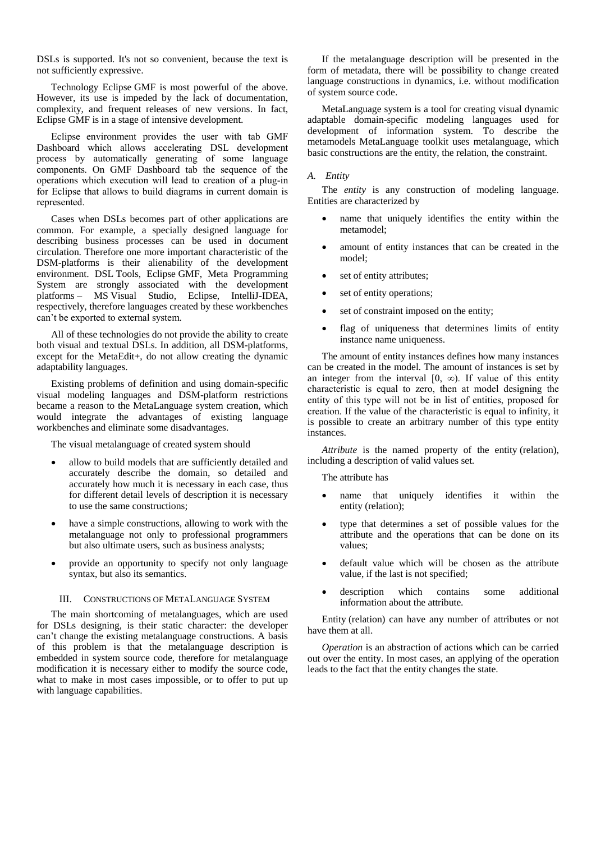DSLs is supported. It's not so convenient, because the text is not sufficiently expressive.

Technology Eclipse GMF is most powerful of the above. However, its use is impeded by the lack of documentation, complexity, and frequent releases of new versions. In fact, Eclipse GMF is in a stage of intensive development.

Eclipse environment provides the user with tab GMF Dashboard which allows accelerating DSL development process by automatically generating of some language components. On GMF Dashboard tab the sequence of the operations which execution will lead to creation of a plug-in for Eclipse that allows to build diagrams in current domain is represented.

Cases when DSLs becomes part of other applications are common. For example, a specially designed language for describing business processes can be used in document circulation. Therefore one more important characteristic of the DSM-platforms is their alienability of the development environment. DSL Tools, Eclipse GMF, Meta Programming System are strongly associated with the development platforms – MS Visual Studio, Eclipse, IntelliJ-IDEA, respectively, therefore languages created by these workbenches can't be exported to external system.

All of these technologies do not provide the ability to create both visual and textual DSLs. In addition, all DSM-platforms, except for the MetaEdit+, do not allow creating the dynamic adaptability languages.

Existing problems of definition and using domain-specific visual modeling languages and DSM-platform restrictions became a reason to the MetaLanguage system creation, which would integrate the advantages of existing language workbenches and eliminate some disadvantages.

The visual metalanguage of created system should

- allow to build models that are sufficiently detailed and accurately describe the domain, so detailed and accurately how much it is necessary in each case, thus for different detail levels of description it is necessary to use the same constructions;
- have a simple constructions, allowing to work with the metalanguage not only to professional programmers but also ultimate users, such as business analysts;
- provide an opportunity to specify not only language syntax, but also its semantics.

#### III. CONSTRUCTIONS OF METALANGUAGE SYSTEM

The main shortcoming of metalanguages, which are used for DSLs designing, is their static character: the developer can't change the existing metalanguage constructions. A basis of this problem is that the metalanguage description is embedded in system source code, therefore for metalanguage modification it is necessary either to modify the source code, what to make in most cases impossible, or to offer to put up with language capabilities.

If the metalanguage description will be presented in the form of metadata, there will be possibility to change created language constructions in dynamics, i.e. without modification of system source code.

MetaLanguage system is a tool for creating visual dynamic adaptable domain-specific modeling languages used for development of information system. To describe the metamodels MetaLanguage toolkit uses metalanguage, which basic constructions are the entity, the relation, the constraint.

#### *A. Entity*

The *entity* is any construction of modeling language. Entities are characterized by

- name that uniquely identifies the entity within the metamodel;
- amount of entity instances that can be created in the model;
- set of entity attributes;
- set of entity operations;
- set of constraint imposed on the entity;
- flag of uniqueness that determines limits of entity instance name uniqueness.

The amount of entity instances defines how many instances can be created in the model. The amount of instances is set by an integer from the interval  $[0, \infty)$ . If value of this entity characteristic is equal to zero, then at model designing the entity of this type will not be in list of entities, proposed for creation. If the value of the characteristic is equal to infinity, it is possible to create an arbitrary number of this type entity instances.

*Attribute* is the named property of the entity (relation), including a description of valid values set.

The attribute has

- name that uniquely identifies it within the entity (relation);
- type that determines a set of possible values for the attribute and the operations that can be done on its values;
- default value which will be chosen as the attribute value, if the last is not specified;
- description which contains some additional information about the attribute.

Entity (relation) can have any number of attributes or not have them at all.

*Operation* is an abstraction of actions which can be carried out over the entity. In most cases, an applying of the operation leads to the fact that the entity changes the state.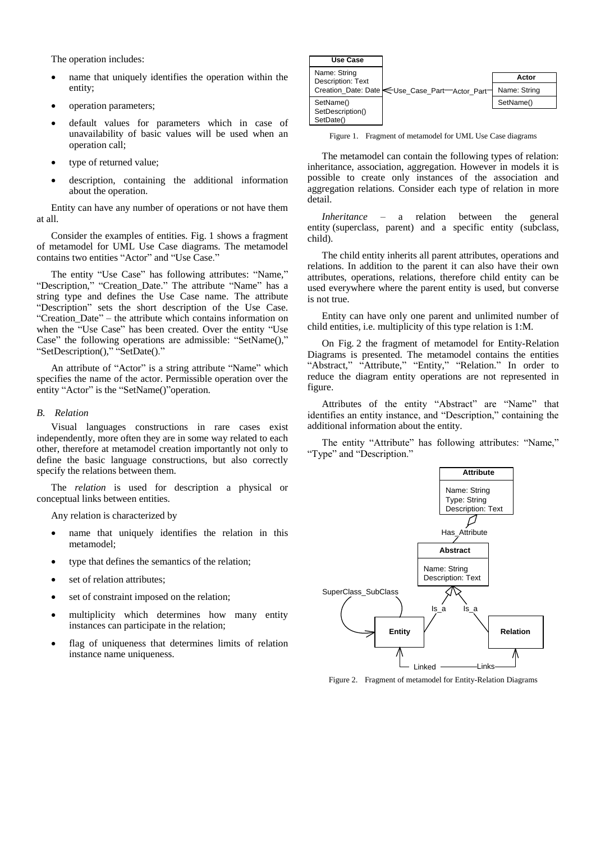The operation includes:

- name that uniquely identifies the operation within the entity;
- operation parameters;
- default values for parameters which in case of unavailability of basic values will be used when an operation call;
- type of returned value;
- description, containing the additional information about the operation.

Entity can have any number of operations or not have them at all.

Consider the examples of entities. Fig. 1 shows a fragment of metamodel for UML Use Case diagrams. The metamodel contains two entities "Actor" and "Use Case."

The entity "Use Case" has following attributes: "Name," "Description," "Creation\_Date." The attribute "Name" has a string type and defines the Use Case name. The attribute "Description" sets the short description of the Use Case. "Creation\_Date" – the attribute which contains information on when the "Use Case" has been created. Over the entity "Use Case" the following operations are admissible: "SetName()," "SetDescription()," "SetDate()."

An attribute of "Actor" is a string attribute "Name" which specifies the name of the actor. Permissible operation over the entity "Actor" is the "SetName()"operation.

## *B. Relation*

Visual languages constructions in rare cases exist independently, more often they are in some way related to each other, therefore at metamodel creation importantly not only to define the basic language constructions, but also correctly specify the relations between them.

The *relation* is used for description a physical or conceptual links between entities.

Any relation is characterized by

- name that uniquely identifies the relation in this metamodel;
- type that defines the semantics of the relation;
- set of relation attributes;
- set of constraint imposed on the relation;
- multiplicity which determines how many entity instances can participate in the relation;
- flag of uniqueness that determines limits of relation instance name uniqueness.

| Use Case                                                                                                 |              |           |
|----------------------------------------------------------------------------------------------------------|--------------|-----------|
| Name: String<br>Description: Text                                                                        |              | Actor     |
| Creation_Date: Date <use_case_part-actor_part-< td=""><td>Name: String</td></use_case_part-actor_part-<> | Name: String |           |
| SetName()                                                                                                |              | SetName() |
| SetDescription()<br>SetDate()                                                                            |              |           |

Figure 1. Fragment of metamodel for UML Use Case diagrams

The metamodel can contain the following types of relation: inheritance, association, aggregation. However in models it is possible to create only instances of the association and aggregation relations. Consider each type of relation in more detail.

*Inheritance* – a relation between the general entity (superclass, parent) and a specific entity (subclass, child).

The child entity inherits all parent attributes, operations and relations. In addition to the parent it can also have their own attributes, operations, relations, therefore child entity can be used everywhere where the parent entity is used, but converse is not true.

Entity can have only one parent and unlimited number of child entities, i.e. multiplicity of this type relation is 1:M.

On Fig. 2 the fragment of metamodel for Entity-Relation Diagrams is presented. The metamodel contains the entities "Abstract," "Attribute," "Entity," "Relation." In order to reduce the diagram entity operations are not represented in figure.

Attributes of the entity "Abstract" are "Name" that identifies an entity instance, and "Description," containing the additional information about the entity.

The entity "Attribute" has following attributes: "Name," "Type" and "Description."



Figure 2. Fragment of metamodel for Entity-Relation Diagrams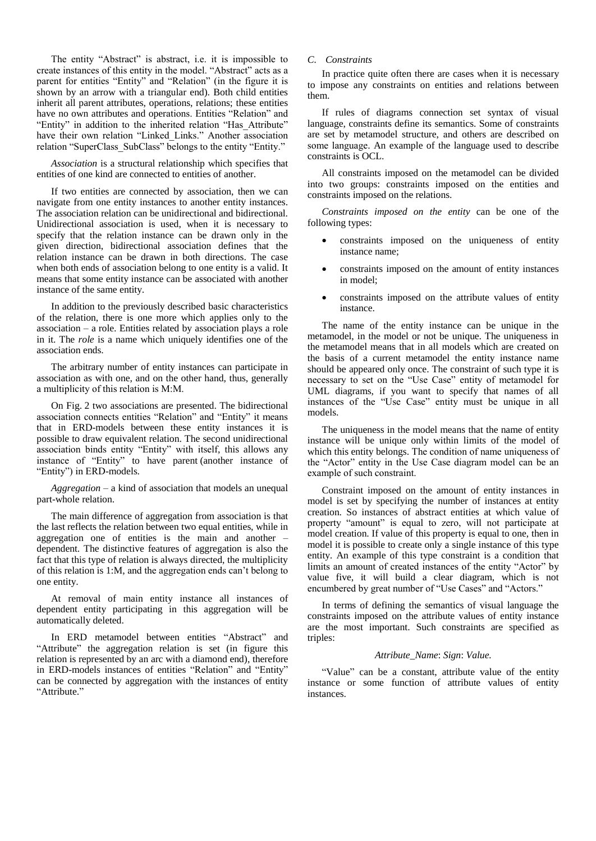The entity "Abstract" is abstract, i.e. it is impossible to create instances of this entity in the model. "Abstract" acts as a parent for entities "Entity" and "Relation" (in the figure it is shown by an arrow with a triangular end). Both child entities inherit all parent attributes, operations, relations; these entities have no own attributes and operations. Entities "Relation" and "Entity" in addition to the inherited relation "Has\_Attribute" have their own relation "Linked\_Links." Another association relation "SuperClass\_SubClass" belongs to the entity "Entity."

*Association* is a structural relationship which specifies that entities of one kind are connected to entities of another.

If two entities are connected by association, then we can navigate from one entity instances to another entity instances. The association relation can be unidirectional and bidirectional. Unidirectional association is used, when it is necessary to specify that the relation instance can be drawn only in the given direction, bidirectional association defines that the relation instance can be drawn in both directions. The case when both ends of association belong to one entity is a valid. It means that some entity instance can be associated with another instance of the same entity.

In addition to the previously described basic characteristics of the relation, there is one more which applies only to the association – a role. Entities related by association plays a role in it. The *role* is a name which uniquely identifies one of the association ends.

The arbitrary number of entity instances can participate in association as with one, and on the other hand, thus, generally a multiplicity of this relation is М:М.

On Fig. 2 two associations are presented. The bidirectional association connects entities "Relation" and "Entity" it means that in ERD-models between these entity instances it is possible to draw equivalent relation. The second unidirectional association binds entity "Entity" with itself, this allows any instance of "Entity" to have parent (another instance of "Entity") in ERD-models.

*Aggregation* – a kind of association that models an unequal part-whole relation.

The main difference of aggregation from association is that the last reflects the relation between two equal entities, while in aggregation one of entities is the main and another – dependent. The distinctive features of aggregation is also the fact that this type of relation is always directed, the multiplicity of this relation is 1:M, and the aggregation ends can't belong to one entity.

At removal of main entity instance all instances of dependent entity participating in this aggregation will be automatically deleted.

In ERD metamodel between entities "Abstract" and "Attribute" the aggregation relation is set (in figure this relation is represented by an arc with a diamond end), therefore in ERD-models instances of entities "Relation" and "Entity" can be connected by aggregation with the instances of entity "Attribute."

# *C. Constraints*

In practice quite often there are cases when it is necessary to impose any constraints on entities and relations between them.

If rules of diagrams connection set syntax of visual language, constraints define its semantics. Some of constraints are set by metamodel structure, and others are described on some language. An example of the language used to describe constraints is OCL.

All constraints imposed on the metamodel can be divided into two groups: constraints imposed on the entities and constraints imposed on the relations.

*Constraints imposed on the entity* can be one of the following types:

- constraints imposed on the uniqueness of entity instance name;
- constraints imposed on the amount of entity instances in model;
- constraints imposed on the attribute values of entity instance.

The name of the entity instance can be unique in the metamodel, in the model or not be unique. The uniqueness in the metamodel means that in all models which are created on the basis of a current metamodel the entity instance name should be appeared only once. The constraint of such type it is necessary to set on the "Use Case" entity of metamodel for UML diagrams, if you want to specify that names of all instances of the "Use Case" entity must be unique in all models.

The uniqueness in the model means that the name of entity instance will be unique only within limits of the model of which this entity belongs. The condition of name uniqueness of the "Actor" entity in the Use Case diagram model can be an example of such constraint.

Constraint imposed on the amount of entity instances in model is set by specifying the number of instances at entity creation. So instances of abstract entities at which value of property "amount" is equal to zero, will not participate at model creation. If value of this property is equal to one, then in model it is possible to create only a single instance of this type entity. An example of this type constraint is a condition that limits an amount of created instances of the entity "Actor" by value five, it will build a clear diagram, which is not encumbered by great number of "Use Cases" and "Actors."

In terms of defining the semantics of visual language the constraints imposed on the attribute values of entity instance are the most important. Such constraints are specified as triples:

#### *Attribute\_Name*: *Sign*: *Value.*

"Value" can be a constant, attribute value of the entity instance or some function of attribute values of entity instances.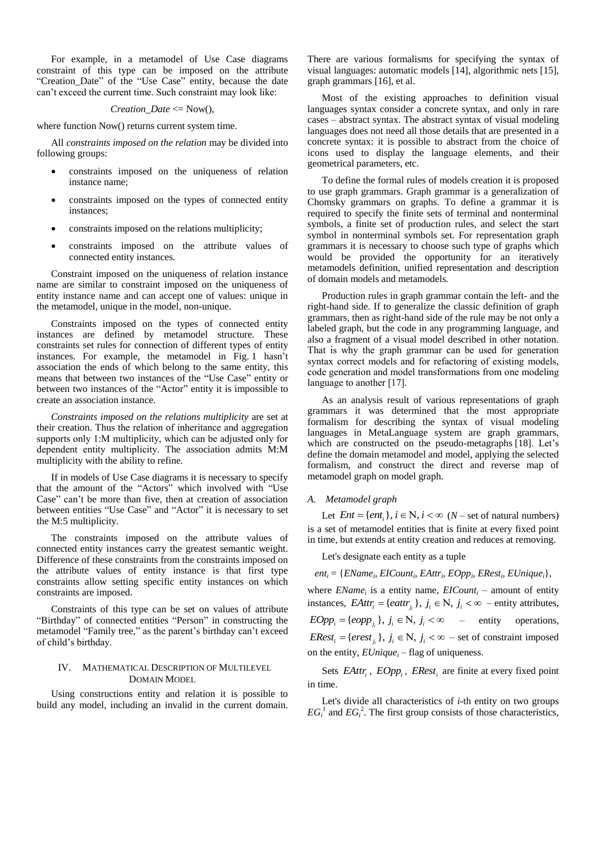For example, in a metamodel of Use Case diagrams constraint of this type can be imposed on the attribute "Creation Date" of the "Use Case" entity, because the date can't exceed the current time. Such constraint may look like:

#### *Creation\_Date* <= Now(),

where function Now() returns current system time.

All *constraints imposed on the relation* may be divided into following groups:

- constraints imposed on the uniqueness of relation instance name;
- constraints imposed on the types of connected entity instances;
- constraints imposed on the relations multiplicity;
- constraints imposed on the attribute values of connected entity instances.

Constraint imposed on the uniqueness of relation instance name are similar to constraint imposed on the uniqueness of entity instance name and can accept one of values: unique in the metamodel, unique in the model, non-unique.

Constraints imposed on the types of connected entity instances are defined by metamodel structure. These constraints set rules for connection of different types of entity instances. For example, the metamodel in Fig. 1 hasn't association the ends of which belong to the same entity, this means that between two instances of the "Use Case" entity or between two instances of the "Actor" entity it is impossible to create an association instance.

*Constraints imposed on the relations multiplicity* are set at their creation. Thus the relation of inheritance and aggregation supports only 1:M multiplicity, which can be adjusted only for dependent entity multiplicity. The association admits M:M multiplicity with the ability to refine.

If in models of Use Case diagrams it is necessary to specify that the amount of the "Actors" which involved with "Use Case" can't be more than five, then at creation of association between entities "Use Case" and "Actor" it is necessary to set the M:5 multiplicity.

The constraints imposed on the attribute values of connected entity instances carry the greatest semantic weight. Difference of these constraints from the constraints imposed on the attribute values of entity instance is that first type constraints allow setting specific entity instances on which constraints are imposed.

Constraints of this type can be set on values of attribute "Birthday" of connected entities "Person" in constructing the metamodel "Family tree," as the parent's birthday can't exceed of child's birthday.

## IV. MATHEMATICAL DESCRIPTION OF MULTILEVEL DOMAIN MODEL

Using constructions entity and relation it is possible to build any model, including an invalid in the current domain. There are various formalisms for specifying the syntax of visual languages: automatic models [14], algorithmic nets [15], graph grammars [16], et al.

Most of the existing approaches to definition visual languages syntax consider a concrete syntax, and only in rare cases – abstract syntax. The abstract syntax of visual modeling languages does not need all those details that are presented in a concrete syntax: it is possible to abstract from the choice of icons used to display the language elements, and their geometrical parameters, etc.

To define the formal rules of models creation it is proposed to use graph grammars. Graph grammar is a generalization of Chomsky grammars on graphs. To define a grammar it is required to specify the finite sets of terminal and nonterminal symbols, a finite set of production rules, and select the start symbol in nonterminal symbols set. For representation graph grammars it is necessary to choose such type of graphs which would be provided the opportunity for an iteratively metamodels definition, unified representation and description of domain models and metamodels.

Production rules in graph grammar contain the left- and the right-hand side. If to generalize the classic definition of graph grammars, then as right-hand side of the rule may be not only a labeled graph, but the code in any programming language, and also a fragment of a visual model described in other notation. That is why the graph grammar can be used for generation syntax correct models and for refactoring of existing models, code generation and model transformations from one modeling language to another [17].

As an analysis result of various representations of graph grammars it was determined that the most appropriate formalism for describing the syntax of visual modeling languages in MetaLanguage system are graph grammars, which are constructed on the pseudo-metagraphs [18]. Let's define the domain metamodel and model, applying the selected formalism, and construct the direct and reverse map of metamodel graph on model graph.

# *A. Metamodel graph*

Let  $Ent = \{ent_i\}, i \in \mathbb{N}, i < \infty \ (N - \text{set of natural numbers})$ is a set of metamodel entities that is finite at every fixed point in time, but extends at entity creation and reduces at removing.

Let's designate each entity as a tuple

 $ent_i = \{EName_i, ElCount_i, EAttr_i, EOpp_i, ERest_i, EUrique_i\},$ 

where  $EName_i$  is a entity name,  $EICount_i$  – amount of entity where *EName<sub>i</sub>* is a entity name, *ELCount<sub>i</sub>* – amount of entity instances, *EAttr<sub>i</sub>* = {*eattr<sub>j<sub>i</sub></sub>*}, *j<sub>i</sub>*  $\in$  N, *j<sub>i</sub>* <  $\infty$  – entity attributes,  $EOpp_i = \{eopp_{j_i}\}, j_i \in \mathbb{N}, j_i < \infty$  – entity operations,  $ERest_i = \{erest_{j_i}\}, j_i \in \mathbb{N}, j_i < \infty$  – set of constraint imposed on the entity, *EUnique<sup>i</sup>* – flag of uniqueness.

Sets *EAttr<sub>i</sub>*, *EOpp<sub>i</sub>*, *ERest<sub>i</sub>* are finite at every fixed point in time.

Let's divide all characteristics of *i*-th entity on two groups  $EG<sub>i</sub><sup>1</sup>$  and  $EG<sub>i</sub><sup>2</sup>$ . The first group consists of those characteristics,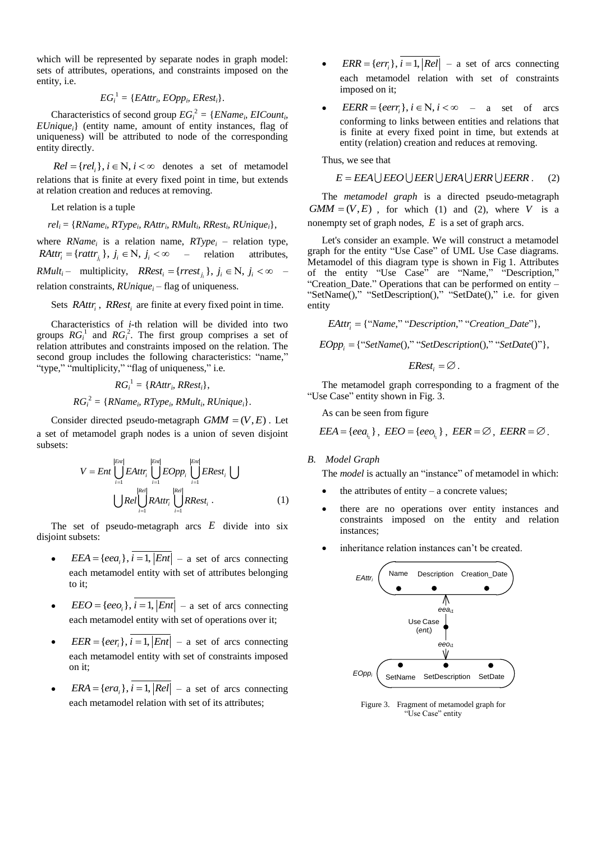which will be represented by separate nodes in graph model: sets of attributes, operations, and constraints imposed on the entity, i.e.

$$
EG_i^1 = \{EAttr_i, EOpp_i, ERest_i\}.
$$

Characteristics of second group  $EG_i^2 = \{EName_i, EICount_i,$ *EUnique*<sup>*i*</sup>} (entity name, amount of entity instances, flag of uniqueness) will be attributed to node of the corresponding entity directly.

 ${Rel} = {rel_i}$ ,  $i \in N$ ,  $i < \infty$  denotes a set of metamodel relations that is finite at every fixed point in time, but extends at relation creation and reduces at removing.

Let relation is a tuple

*rel<sup>i</sup>* = {*RName<sup>i</sup> , RType<sup>i</sup> , RAttr<sup>i</sup> , RMult<sup>i</sup> , RRest<sup>i</sup> , RUniquei*},

where  $\textit{RName}_i$  is a relation name,  $\textit{RType}_i$  – relation type, where  $Kvame_i$  is a relation name,  $Krype_i$  – relation type,<br> $RAttr_i = \{rattr_{j_i}\}, j_i \in \mathbb{N}, j_i < \infty$  – relation attributes,  $RMult_i$  – multiplicity,  $RRest_i = \{rrest_{j_i}\}, j_i \in \mathbb{N}, j_i < \infty$ relation constraints, *RUnique<sup>i</sup>* – flag of uniqueness.

Sets *RAttr<sub>i</sub>*, *RRest<sub>i</sub>* are finite at every fixed point in time.

Characteristics of *i*-th relation will be divided into two groups  $RG_i^1$  and  $RG_i^2$ . The first group comprises a set of relation attributes and constraints imposed on the relation. The second group includes the following characteristics: "name," "type," "multiplicity," "flag of uniqueness," i.e.

> $RG<sub>i</sub><sup>1</sup> = {RAttr<sub>i</sub>, RRest<sub>i</sub>},$  $RG_i^2 = \{RName_i, RType_i, RMulti_i, RUnique_i\}.$

Consider directed pseudo-metagraph  $GMM = (V, E)$ . Let a set of metamodel graph nodes is a union of seven disjoint subsets:

$$
V = Ent \bigcup_{i=1}^{|Ent|} EAttr_i \bigcup_{i=1}^{|Ent|} EOpp_i \bigcup_{i=1}^{|Ent|} ERest_i \bigcup
$$
  

$$
\bigcup Rel \bigcup_{i=1}^{|Rel|} RAttr_i \bigcup_{i=1}^{|Rel|} RRest_i .
$$
 (1)

The set of pseudo-metagraph arcs  $E$  divide into six disjoint subsets:

- **•**  $EEA = \{ eea_i \}, i = 1, |Ent| a \text{ set of arcs connecting } i \}$ each metamodel entity with set of attributes belonging to it;
- **•**  $EEO = \{eeo_i\}, i = 1, |Ent| a$  set of arcs connecting each metamodel entity with set of operations over it;
- **•**  $EER = \{eer_i\}, i = 1, |Ent|$  a set of arcs connecting each metamodel entity with set of constraints imposed on it;
- $ERA = \{era_i\}, \overline{i = 1, |Rel|} a$  set of arcs connecting each metamodel relation with set of its attributes;
- $ERR = \{err_i\}, i = 1, |Rel| a$  set of arcs connecting each metamodel relation with set of constraints imposed on it;
- $EERR = \{eerr_i\}, i \in \mathbb{N}, i < \infty$  a set of arcs conforming to links between entities and relations that is finite at every fixed point in time, but extends at entity (relation) creation and reduces at removing.

Thus, we see that

$$
E = EEA \cup EEO \cup EER \cup ERA \cup ERR \cup EERR. \quad (2)
$$

The *metamodel graph* is a directed pseudo-metagraph  $GMM = (V, E)$ , for which (1) and (2), where V is a nonempty set of graph nodes, *E* is a set of graph arcs.

Let's consider an example. We will construct a metamodel graph for the entity "Use Case" of UML Use Case diagrams. Metamodel of this diagram type is shown in Fig 1. Attributes of the entity "Use Case" are "Name," "Description," "Creation\_Date." Operations that can be performed on entity – "SetName()," "SetDescription()," "SetDate()," i.e. for given entity

*EAttr<sup>i</sup>* {"*Name*," "*Description*," "*Creation\_Date*"},

$$
EOpp_i = \{``SetName(),''\text{``SetDescription(),''\text{``SetDate()''}\},
$$

$$
ERest_i = \varnothing.
$$

The metamodel graph corresponding to a fragment of the "Use Case" entity shown in Fig. 3.

As can be seen from figure

$$
EEA = \{ eea_{i_1} \}, EEO = \{ eeo_{i_1} \}, EER = \varnothing, EERR = \varnothing.
$$

## *B. Model Graph*

The *model* is actually an "instance" of metamodel in which:

- the attributes of entity  $-$  a concrete values;
- there are no operations over entity instances and constraints imposed on the entity and relation instances;
- inheritance relation instances can't be created.



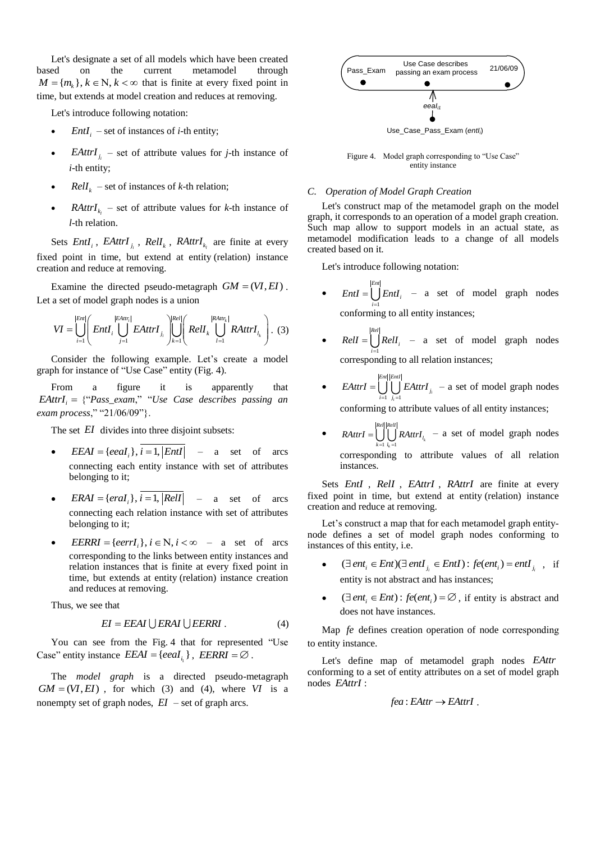Let's designate a set of all models which have been created based on the current metamodel through  ${M} = {m_k}$ ,  $k \in \mathbb{N}$ ,  $k < \infty$  that is finite at every fixed point in time, but extends at model creation and reduces at removing.

Let's introduce following notation:

- *EntI*<sub>*i*</sub> set of instances of *i*-th entity;
- $\bullet$ *EAttrI*<sub>*j*<sub>i</sub></sub> – set of attribute values for *j*-th instance of *i*-th entity;
- $Rell<sub>k</sub>$  set of instances of *k*-th relation;
- $\bullet$ *RAttrI*<sub>*k*<sup>*i*</sup> – set of attribute values for *k*-th instance of</sub> *l*-th relation.

Sets  $EntI_i$ ,  $EAttrI_{j_i}$ ,  $RelI_k$ ,  $RAttrI_{k_i}$  are finite at every fixed point in time, but extend at entity (relation) instance creation and reduce at removing.

Examine the directed pseudo-metagraph  $GM = (VI, EI)$ .

Let a set of model graph nodes is a union  
\n
$$
VI = \bigcup_{i=1}^{|Ent|} \left( EntI_i \bigcup_{j=1}^{|EAttrI_i|} EAttrI_{j_i} \right) \bigcup_{k=1}^{|ReLU_k|} \left( ReII_k \bigcup_{l=1}^{|RAttrI_k|} RAttrI_{l_k} \right). (3)
$$

Consider the following example. Let's create a model graph for instance of "Use Case" entity (Fig. 4).

From a figure it is apparently that *EAttrI<sup>i</sup>* {"*Pass\_exam*," "*Use Case describes passing an exam process*," "21/06/09"}.

The set *EI* divides into three disjoint subsets:

- *EEAI* = {*eeaI*<sub>*i*</sub> },  $\overline{i} = 1$ , *EntI* – a set of arcs connecting each entity instance with set of attributes belonging to it;
- *ERAI* = { $eral_i$ },  $i = 1$ , |*RelI* – a set of arcs connecting each relation instance with set of attributes belonging to it;
- $EERRI = \{eerrI_i\}, i \in \mathbb{N}, i < \infty$  a set of arcs corresponding to the links between entity instances and relation instances that is finite at every fixed point in time, but extends at entity (relation) instance creation and reduces at removing.

Thus, we see that

$$
EI = EEAI \cup ERAI \cup EERRI.
$$
 (4)

You can see from the Fig. 4 that for represented "Use Case" entity instance  $EEAI = \{ e e a I_{i_i} \}$ ,  $EERRI = \emptyset$ .

The *model graph* is a directed pseudo-metagraph  $GM = (VI, EI)$ , for which (3) and (4), where VI is a nonempty set of graph nodes,  $EI - set$  of graph arcs.



Figure 4. Model graph corresponding to "Use Case" entity instance

### *C. Operation of Model Graph Creation*

Let's construct map of the metamodel graph on the model graph, it corresponds to an operation of a model graph creation. Such map allow to support models in an actual state, as metamodel modification leads to a change of all models created based on it.

Let's introduce following notation:

 $\bullet$ 1 *Ent*  $EntI = \bigcup EntI_i$  – a set of model graph nodes *i* = conforming to all entity instances;

 $\bullet$  $\sum_{i=1}^{i=1}$  corresponding to all relation instances; *Rel*  $Rell = \bigcup Rell_i$  – a set of model graph nodes

 $\bullet$  $\frac{1}{i}$   $\frac{1}{i}$   $\frac{1}{i}$ *i Ent EntI*  $\bigcup_{i=1}^{\infty} \bigcup_{j_i=1}^{L_{I}} I_{I_{I}}^{i}$ *EAttrI EAttrI*  $=1$   $j_i=1$  $=$   $\left[\begin{array}{c} | \\ | \end{array}\right]$   $\left[\begin{array}{c} EAttr I_{i} \\ -a \end{array}\right]$  a set of model graph nodes conforming to attribute values of all entity instances;

 $\bullet$  $\frac{1}{k}$   $\frac{1}{k}$   $\frac{1}{k}$ *k Rel RelI*  $RAttrI = \bigcup_{k=1}^{n} \bigcup_{l_k=1}^{n} RAttrI_k$  $=$   $\iiint$   $R$ AttrI<sub>l</sub> – a set of model graph nodes corresponding to attribute values of all relation instances.

Sets *EntI* , *RelI* , *EAttrI* , *RAttrI* are finite at every fixed point in time, but extend at entity (relation) instance creation and reduce at removing.

Let's construct a map that for each metamodel graph entitynode defines a set of model graph nodes conforming to instances of this entity, i.e.

- ances of this entity, i.e.<br>
 $(\exists ent_i \in Ent)(\exists entI_{j_i} \in Ent) : fe(ent_i) = entI_{j_i}$ , if entity is not abstract and has instances;
- $(\exists ent_i \in Ent) : \text{fe}(\text{ent}_i) = \emptyset$ , if entity is abstract and does not have instances.

Map *fe* defines creation operation of node corresponding to entity instance.

Let's define map of metamodel graph nodes *EAttr* conforming to a set of entity attributes on a set of model graph nodes *EAttrI* :

$$
fea:EAtr \rightarrow EAttrI.
$$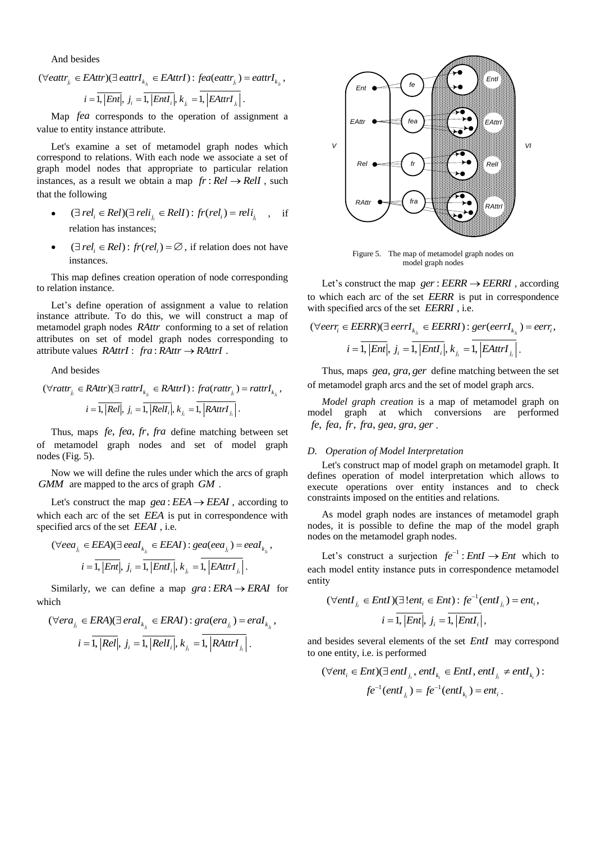And besides

And besides  
\n
$$
(\forall eattr_{j_i} \in EAttr) (\exists eattr_{k_{j_i}} \in EAttrI) : fea(eattr_{j_i}) = eattr_{k_{j_i}},
$$
\n
$$
i = \overline{1, |Ent|}, j_i = \overline{1, |Ent_{i}|}, k_{j_i} = \overline{1, |Eattr_{j_i}|}.
$$

Map *fea* corresponds to the operation of assignment a value to entity instance attribute.

Let's examine a set of metamodel graph nodes which correspond to relations. With each node we associate a set of graph model nodes that appropriate to particular relation instances, as a result we obtain a map  $fr : Rel \rightarrow RelI$ , such that the following

- $(\exists rel_i \in Rel)(\exists rel_{j_i} \in RelI)$ :  $fr( rel_i ) = rel_{j_i}$ , if relation has instances;
- $(\exists rel_i \in Rel)$ :  $fr(rel_i) = \emptyset$ , if relation does not have instances.

This map defines creation operation of node corresponding to relation instance.

Let's define operation of assignment a value to relation instance attribute. To do this, we will construct a map of metamodel graph nodes *RAttr* conforming to a set of relation attributes on set of model graph nodes corresponding to attribute values  $RAttrI: fra: RAttr \rightarrow RAttrI$ .

And besides

And besides  
\n
$$
(\forall rattr_{j_i} \in RAttr) (\exists rattr_{k_{j_i}} \in RAttrI) : fra(rattr_{j_i}) = rattrI_{k_{j_i}},
$$
\n
$$
i = \overline{1, |Rel|}, j_i = \overline{1, |Relt_i|}, k_{j_i} = \overline{1, |RAttrI_{j_i}|}.
$$

Thus, maps fe, fea, fr, fra define matching between set of metamodel graph nodes and set of model graph nodes (Fig. 5).

Now we will define the rules under which the arcs of graph *GMM* are mapped to the arcs of graph *GM* .

Let's construct the map  $gea : EEA \rightarrow EEAI$ , according to which each arc of the set *EEA* is put in correspondence with

specified arcs of the set *EEAI*, i.e.  
\n
$$
(\forall eea_{j_i} \in EEA)(\exists eeaI_{k_{j_i}} \in EEAI) : gea(eea_{j_i}) = eeaI_{k_{j_i}},
$$
\n
$$
i = \overline{1, |Ent|}, j_i = \overline{1, |EntI_i|}, k_{j_i} = \overline{1, |EAttrI_{j_i}|}.
$$

Similarly, we can define a map  $gra : ERA \rightarrow ERAI$  for which

iich

\n
$$
(\forall era_{j_i} \in ERA)(\exists \, eraI_{k_{j_i}} \in ERAI): gra(era_{j_i}) = eraI_{k_{j_i}},
$$
\n
$$
i = \overline{1, |Rel|}, j_i = \overline{1, |Rel|}, k_{j_i} = \overline{1, |RAttrI_{j_i}|}.
$$



Figure 5. The map of metamodel graph nodes on model graph nodes

Let's construct the map  $ger : EERR \rightarrow EERRI$ , according to which each arc of the set *EERR* is put in correspondence

with specified arcs of the set *EERRI*, i.e.  
\n
$$
(\forall eerr_i \in EERR) (\exists eerrI_{k_{j_i}} \in EERRI) : ger(eerrI_{k_{j_i}}) = eerr_i,
$$
\n
$$
i = \overline{1, |Ent|}, j_i = \overline{1, |EntI_i|}, k_{j_i} = \overline{1, |EAttrI_{j_i}|}.
$$

Thus, maps gea, gra, ger define matching between the set of metamodel graph arcs and the set of model graph arcs.

*Model graph creation* is a map of metamodel graph on model graph at which conversions are performed *fe, fea, fr, fra, gea, gra, ger.* 

## *D. Operation of Model Interpretation*

Let's construct map of model graph on metamodel graph. It defines operation of model interpretation which allows to execute operations over entity instances and to check constraints imposed on the entities and relations.

As model graph nodes are instances of metamodel graph nodes, it is possible to define the map of the model graph nodes on the metamodel graph nodes.

Let's construct a surjection  $fe^{-1}$ : *EntI*  $\rightarrow$  *Ent* which to each model entity instance puts in correspondence metamodel entity

y  
\n
$$
(\forall entI_{j_i} \in EntI)(\exists !ent_i \in Ent) : fe^{-1}(entI_{j_i}) = ent_i,
$$
\n
$$
i = 1, |Ent|, j_i = 1, |EntI_i|,
$$

and besides several elements of the set *EntI* may correspond

to one entity, i.e. is performed  
\n
$$
(\forall ent_i \in Ent)(\exists entI_{i_i}, entI_{k_i} \in EntI, entI_{i_i} \ne entI_{k_i}):
$$
  
\n $fe^{-1}(entI_{i_i}) = fe^{-1}(entI_{k_i}) = ent_i.$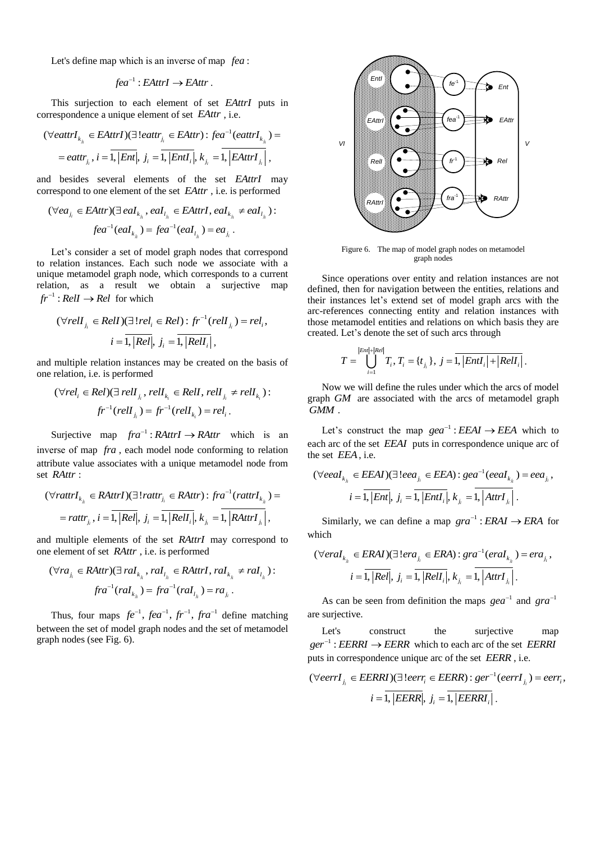Let's define map which is an inverse of map *fea* :

$$
fea^{-1}:EAttrI \to EAttr.
$$

This surjection to each element of set *EAttrI* puts in

correspondence a unique element of set *EAttr*, i.e.  
\n
$$
(\forall eattrI_{k_{j_i}} \in EAttrI)(\exists !eattr_{j_i} \in EAttr): fea^{-1}(eattrI_{k_{j_i}}) =
$$
\n
$$
= eattr_{j_i}, i = 1, |Ent|, j_i = 1, |EntI_i|, k_{j_i} = 1, |EAttrI_{j_i}|,
$$

and besides several elements of the set *EAttrI* may

correspond to one element of the set *EAttr*, i.e. is performed  
\n
$$
(\forall ea_{j_i} \in EAttr)(\exists \; eaI_{k_{j_i}}, \; eaI_{l_{j_i}} \in EAttrI, \; eaI_{k_{j_i}} \neq eaI_{l_{j_i}}):
$$
\n
$$
fea^{-1}(eal_{k_{j_i}}) = fea^{-1}(eal_{l_{j_i}}) = ea_{j_i}.
$$

Let's consider a set of model graph nodes that correspond to relation instances. Each such node we associate with a unique metamodel graph node, which corresponds to a current relation, as a result we obtain a surjective map  $fr^{-1}:$  *RelI*  $\rightarrow$  *Rel* for which

$$
\therefore \text{Re} \rightarrow \text{Ne} \text{ for which}
$$
\n
$$
(\forall \text{rel} I_{j_i} \in \text{Rel} \text{)} \quad (\exists ! \text{rel}_i \in \text{Rel}) : \text{fr}^{-1} (\text{rel} I_{j_i}) = \text{rel}_i,
$$
\n
$$
i = 1, |\text{Rel}|, j_i = 1, |\text{Rel} I_i|,
$$

and multiple relation instances may be created on the basis of

one relation, i.e. is performed  
\n
$$
(\forall rel_i \in Rel)(\exists relI_{j_i}, relI_{k_i} \in RelI, relI_{j_i} \ne relI_{k_i}):
$$
\n
$$
fr^{-1}(relI_{j_i}) = fr^{-1}(relI_{k_i}) = rel_i.
$$

Surjective map  $fra^{-1}: RAttrI \rightarrow RAttr$  which is an inverse of map *fra* , each model node conforming to relation attribute value associates with a unique metamodel node from set *RAttr* :

t RAttr :  
\n
$$
(\forall rattrI_{k_{j_i}} \in RAttrI)(\exists !rattr_{j_i} \in RAttr): fra^{-1}(rattrI_{k_{j_i}}) =
$$
\n
$$
= rattr_{j_i}, i = \overline{1, |Rel|}, j_i = \overline{1, |Relt_i|}, k_{j_i} = \overline{1, |RAttrI_{j_i}|},
$$

and multiple elements of the set *RAttrI* may correspond to

one element of set *RAttr*, i.e. is performed  
\n
$$
(\forall ra_{j_i} \in RAttr)(\exists\;ral_{k_{j_i}},\;ral_{l_{j_i}} \in RAttrI, \;ral_{l_{j_i}} \neq rel_{l_{j_i}}):
$$
\n
$$
fra^{-1}(ral_{k_{j_i}}) = fra^{-1}(ral_{l_{j_i}}) = ra_{j_i}.
$$

Thus, four maps  $fe^{-1}$ ,  $fe^{-1}$ ,  $fr^{-1}$ ,  $fra^{-1}$  define matching between the set of model graph nodes and the set of metamodel graph nodes (see Fig. 6).



Figure 6. The map of model graph nodes on metamodel graph nodes

Since operations over entity and relation instances are not defined, then for navigation between the entities, relations and their instances let's extend set of model graph arcs with the arc-references connecting entity and relation instances with those metamodel entities and relations on which basis they are created. Let's denote the set of such arcs through

$$
T=\bigcup_{i=1}^{|Ent|+|Rel|} T_i, T_i=\{t_{j_i}\}, j=\overline{1,|EntI_i|+|RelI_i|}.
$$

*Ent Rel*

Now we will define the rules under which the arcs of model graph *GM* are associated with the arcs of metamodel graph *GMM* .

Let's construct the map  $gea^{-1}$ : *EEAI*  $\rightarrow$  *EEA* which to each arc of the set *EEAI* puts in correspondence unique arc of the set *EEA* , i.e.

The set *EEA*, i.e.  
\n
$$
(\forall e e a I_{k_{j_i}} \in E E A)(\exists \text{ } le e a_{j_i} \in E E A): \text{ } ge a^{-1} (e e a I_{k_{j_i}}) = e e a_{j_i},
$$
\n
$$
i = \overline{1, |Ent|}, \text{ } j_i = \overline{1, |Ent I_i|}, \text{ } k_{j_i} = \overline{1, |Attr I_{j_i}|}.
$$

Similarly, we can define a map  $gra^{-1}$ : *ERAI*  $\rightarrow$  *ERA* for which

which  
\n
$$
(\forall eral_{k_{j_i}} \in ERAI)(\exists !era_{j_i} \in ERA): gra^{-1}(eral_{k_{j_i}}) = era_{j_i},
$$
\n
$$
i = \overline{1, |Rel|}, j_i = \overline{1, |Rel|}, k_{j_i} = \overline{1, |Attr|}_{j_i}.
$$

As can be seen from definition the maps  $gea^{-1}$  and  $gra^{-1}$ are surjective.

Let's construct the surjective map  $ger^{-1}$ : *EERRI*  $\rightarrow$  *EERR* which to each arc of the set *EERRI* 

puts in correspondence unique arc of the set *EERR*, i.e.

\n
$$
(\forall \text{eerr1}_{j_i} \in EERRI)(\exists \text{!} \in EERR) : \text{ger}^{-1}(\text{eer1}_{j_i}) = \text{eer1}_{i},
$$
\n
$$
i = \overline{1, |EERR|}, j_i = \overline{1, |EERR|}.
$$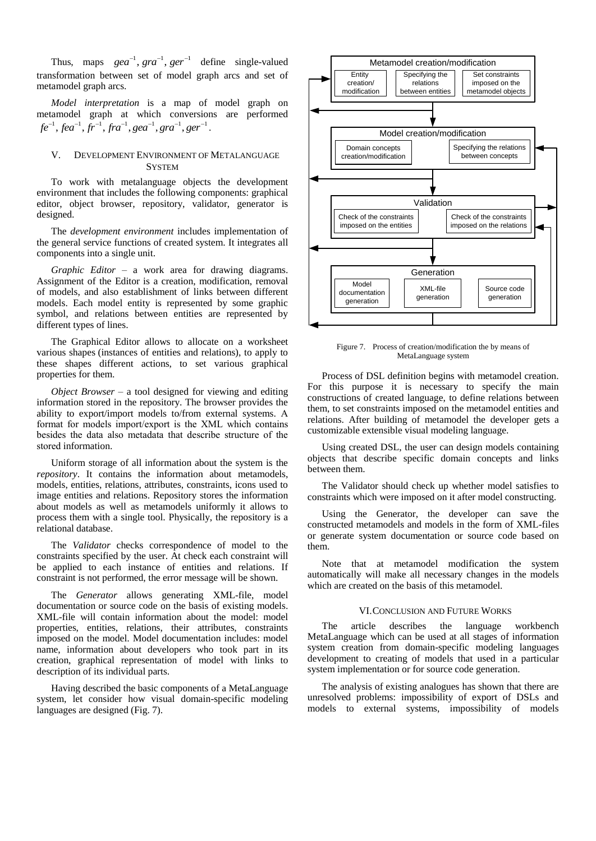Thus, maps  $gea^{-1}$ ,  $gra^{-1}$ ,  $ger^{-1}$  define single-valued transformation between set of model graph arcs and set of metamodel graph arcs.

*Model interpretation* is a map of model graph on metamodel graph at which conversions are performed netamodel graph at which conversions  $fe^{-1}$ ,  $fea^{-1}$ ,  $fra^{-1}$ ,  $gea^{-1}$ ,  $gar^{-1}$ ,  $ger^{-1}$ .

# V. DEVELOPMENT ENVIRONMENT OF METALANGUAGE **SYSTEM**

To work with metalanguage objects the development environment that includes the following components: graphical editor, object browser, repository, validator, generator is designed.

The *development environment* includes implementation of the general service functions of created system. It integrates all components into a single unit.

*Graphic Editor* – a work area for drawing diagrams. Assignment of the Editor is a creation, modification, removal of models, and also establishment of links between different models. Each model entity is represented by some graphic symbol, and relations between entities are represented by different types of lines.

The Graphical Editor allows to allocate on a worksheet various shapes (instances of entities and relations), to apply to these shapes different actions, to set various graphical properties for them.

*Object Browser* – a tool designed for viewing and editing information stored in the repository. The browser provides the ability to export/import models to/from external systems. A format for models import/export is the XML which contains besides the data also metadata that describe structure of the stored information.

Uniform storage of all information about the system is the *repository*. It contains the information about metamodels, models, entities, relations, attributes, constraints, icons used to image entities and relations. Repository stores the information about models as well as metamodels uniformly it allows to process them with a single tool. Physically, the repository is a relational database.

The *Validator* checks correspondence of model to the constraints specified by the user. At check each constraint will be applied to each instance of entities and relations. If constraint is not performed, the error message will be shown.

The *Generator* allows generating XML-file, model documentation or source code on the basis of existing models. XML-file will contain information about the model: model properties, entities, relations, their attributes, constraints imposed on the model. Model documentation includes: model name, information about developers who took part in its creation, graphical representation of model with links to description of its individual parts.

Having described the basic components of a MetaLanguage system, let consider how visual domain-specific modeling languages are designed (Fig. 7).



Figure 7. Process of creation/modification the by means of MetaLanguage system

Process of DSL definition begins with metamodel creation. For this purpose it is necessary to specify the main constructions of created language, to define relations between them, to set constraints imposed on the metamodel entities and relations. After building of metamodel the developer gets a customizable extensible visual modeling language.

Using created DSL, the user can design models containing objects that describe specific domain concepts and links between them.

The Validator should check up whether model satisfies to constraints which were imposed on it after model constructing.

Using the Generator, the developer can save the constructed metamodels and models in the form of XML-files or generate system documentation or source code based on them.

Note that at metamodel modification the system automatically will make all necessary changes in the models which are created on the basis of this metamodel.

### VI.CONCLUSION AND FUTURE WORKS

The article describes the language workbench MetaLanguage which can be used at all stages of information system creation from domain-specific modeling languages development to creating of models that used in a particular system implementation or for source code generation.

The analysis of existing analogues has shown that there are unresolved problems: impossibility of export of DSLs and models to external systems, impossibility of models